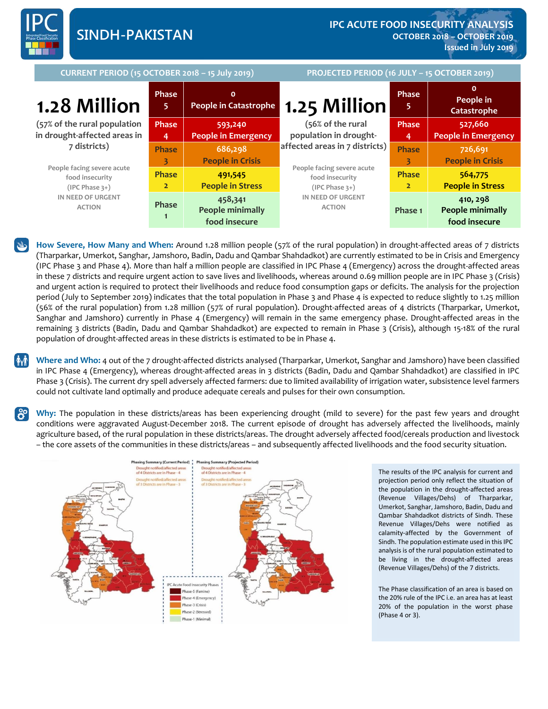

**CURRENT PERIOD (15 OCTOBER 2018 – 15 July 2019) PROJECTED PERIOD (16 JULY – 15 OCTOBER 2019) 1.28 Million (57% of the rural population in drought-affected areas in 7 districts) People facing severe acute food insecurity (IPC Phase 3+) IN NEED OF URGENT ACTION Phase 5 0 People in Catastrophe 1.25 Million (56% of the rural population in droughtaffected areas in 7 districts) People facing severe acute food insecurity (IPC Phase 3+) IN NEED OF URGENT ACTION Phase 5 0 People in Catastrophe Phase 4 593,240 People in Emergency Phase 4 527,660 People in Emergency Phase 3 686,298 People in Crisis Phase 3 726,691 People in Crisis Phase 2 491,545 People in Stress Phase 2 564,775 People in Stress Phase 1 458,341 People minimally food insecure Phase 1 410, 298 People minimally food insecure**

**How Severe, How Many and When:** Around 1.28 million people (57% of the rural population) in drought-affected areas of 7 districts (Tharparkar, Umerkot, Sanghar, Jamshoro, Badin, Dadu and Qambar Shahdadkot) are currently estimated to be in Crisis and Emergency (IPC Phase 3 and Phase 4). More than half a million people are classified in IPC Phase 4 (Emergency) across the drought-affected areas in these 7 districts and require urgent action to save lives and livelihoods, whereas around 0.69 million people are in IPC Phase 3 (Crisis) and urgent action is required to protect their livelihoods and reduce food consumption gaps or deficits. The analysis for the projection period (July to September 2019) indicates that the total population in Phase 3 and Phase 4 is expected to reduce slightly to 1.25 million (56% of the rural population) from 1.28 million (57% of rural population). Drought-affected areas of 4 districts (Tharparkar, Umerkot, Sanghar and Jamshoro) currently in Phase 4 (Emergency) will remain in the same emergency phase. Drought-affected areas in the remaining 3 districts (Badin, Dadu and Qambar Shahdadkot) are expected to remain in Phase 3 (Crisis), although 15-18% of the rural population of drought-affected areas in these districts is estimated to be in Phase 4.

**Where and Who:** 4 out of the 7 drought-affected districts analysed (Tharparkar, Umerkot, Sanghar and Jamshoro) have been classified in IPC Phase 4 (Emergency), whereas drought-affected areas in 3 districts (Badin, Dadu and Qambar Shahdadkot) are classified in IPC Phase 3 (Crisis). The current dry spell adversely affected farmers: due to limited availability of irrigation water, subsistence level farmers could not cultivate land optimally and produce adequate cereals and pulses for their own consumption.

**Why:** The population in these districts/areas has been experiencing drought (mild to severe) for the past few years and drought conditions were aggravated August-December 2018. The current episode of drought has adversely affected the livelihoods, mainly agriculture based, of the rural population in these districts/areas. The drought adversely affected food/cereals production and livestock – the core assets of the communities in these districts/areas – and subsequently affected livelihoods and the food security situation.



The results of the IPC analysis for current and projection period only reflect the situation of the population in the drought-affected areas (Revenue Villages/Dehs) of Tharparkar, Umerkot, Sanghar, Jamshoro, Badin, Dadu and Qambar Shahdadkot districts of Sindh. These Revenue Villages/Dehs were notified as calamity-affected by the Government of Sindh. The population estimate used in this IPC analysis is of the rural population estimated to be living in the drought-affected areas (Revenue Villages/Dehs) of the 7 districts.

The Phase classification of an area is based on the 20% rule of the IPC i.e. an area has at least 20% of the population in the worst phase (Phase 4 or 3).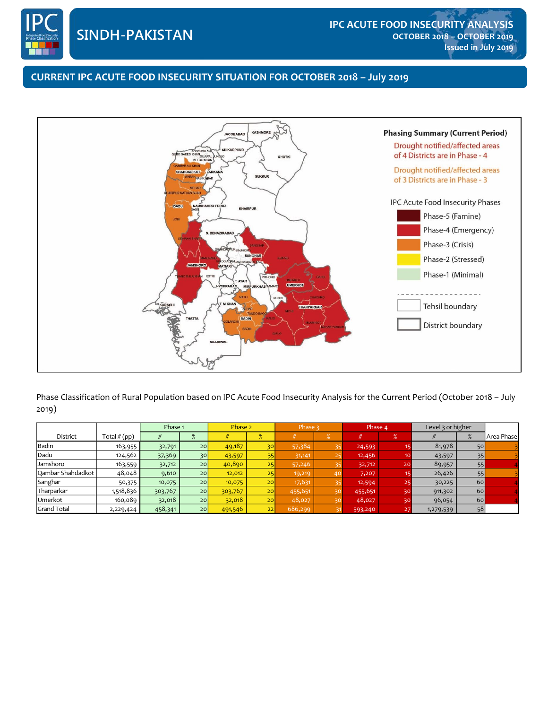

**in the presence of Humanitarian Food Assistance**

## **0000 CURRENT IPC ACUTE FOOD INSECURITY SITUATION FOR OCTOBER 2018 – July 2019**



Phase Classification of Rural Population based on IPC Acute Food Insecurity Analysis for the Current Period (October 2018 – July 2019)

|                    |                | Phase 1 |                 | Phase 2 |                 | Phase 3 |    | Phase 4 |                 | Level 3 or higher |    |            |
|--------------------|----------------|---------|-----------------|---------|-----------------|---------|----|---------|-----------------|-------------------|----|------------|
| District           | Total $# (pp)$ |         | %               |         | %               |         |    | #       | $\%$            |                   |    | Area Phase |
| Badin              | 163,955        | 32,791  | 20              | 49,187  | 30              | 57,384  |    | 24,593  |                 | 81,978            | 50 |            |
| Dadu               | 124,562        | 37,369  | 30              | 43,597  | 35              | 31,141  |    | 12,456  | 10 <sub>o</sub> | 43,597            | 35 |            |
| Jamshoro           | 163,559        | 32,712  | 20              | 40,890  | 25              | 57,246  |    | 32,712  | 20              | 89,957            | 55 |            |
| Qambar Shahdadkot  | 48,048         | 9,610   | 20              | 12,012  | 25              | 19,219  | 40 | 7,207   |                 | 26,426            | 55 |            |
| Sanghar            | 50,375         | 10,075  | 20              | 10,075  | 20 <sup>1</sup> | 17,631  |    | 12,594  | 25              | 30,225            | 60 |            |
| Tharparkar         | 1,518,836      | 303,767 | 20              | 303,767 | 20 <sub>1</sub> | 455,651 |    | 455,651 | 30              | 911,302           | 60 |            |
| Umerkot            | 160,089        | 32,018  | 20              | 32,018  | 20 <sub>1</sub> | 48,027  |    | 48,027  | 30              | 96,054            | 60 |            |
| <b>Grand Total</b> | 2,229,424      | 458,341 | 20 <sup>1</sup> | 491,546 | 22              | 686,299 |    | 593,240 | 27              | 1,279,539         | 58 |            |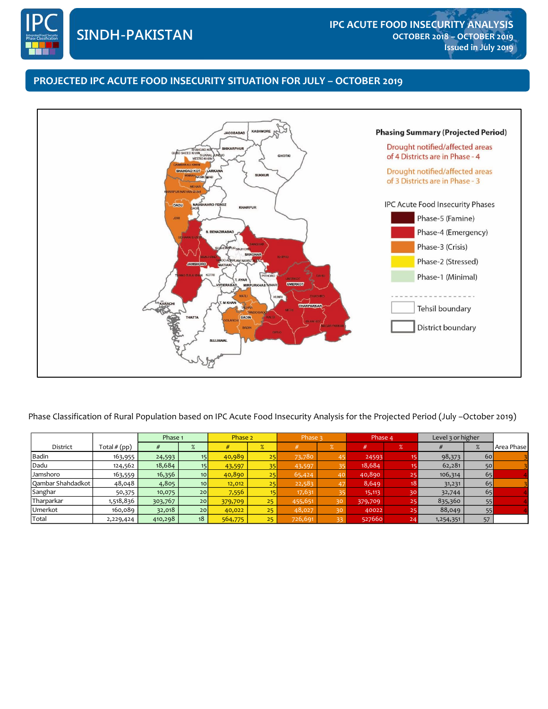

# **0000 PROJECTED IPC ACUTE FOOD INSECURITY SITUATION FOR JULY – OCTOBER 2019**



Phase Classification of Rural Population based on IPC Acute Food Insecurity Analysis for the Projected Period (July –October 2019)

|                   |                | Phase 1 |                 | Phase 2 |                 | Phase 3 |    | Phase 4 |                 | Level 3 or higher |    |            |
|-------------------|----------------|---------|-----------------|---------|-----------------|---------|----|---------|-----------------|-------------------|----|------------|
| District          | Total $# (pp)$ |         | %               |         | %               |         |    | #       | $\sqrt{2}$      |                   |    | Area Phase |
| Badin             | 163,955        | 24,593  |                 | 40,989  | 25              | 73,780  |    | 24593   |                 | 98,373            | 60 |            |
| Dadu              | 124,562        | 18,684  |                 | 43,597  | 35              | 43,597  |    | 18,684  |                 | 62,281            | 50 |            |
| Jamshoro          | 163,559        | 16,356  | 10 <sup>1</sup> | 40,890  | 25              | 65,424  | 40 | 40,890  | 25              | 106,314           | 65 |            |
| Qambar Shahdadkot | 48,048         | 4,805   | 10 <sup>1</sup> | 12,012  | 25              | 22,583  |    | 8,649   | 18 <sup>1</sup> | 31,231            | 65 |            |
| Sanghar           | 50,375         | 10,075  | 20 <sub>l</sub> | 7,556   | 15              | 17,631  |    | 15,113  | 30 <sup>1</sup> | 32,744            | 65 |            |
| Tharparkar        | 1,518,836      | 303,767 | 20              | 379,709 | 25 <sub>1</sub> | 455,651 | 30 | 379,709 | 25              | 835,360           | 55 |            |
| Umerkot           | 160,089        | 32,018  | 20 <sub>l</sub> | 40,022  | 25              | 48,027  | 30 | 40022   | 25 <sub>1</sub> | 88,049            | 55 |            |
| Total             | 2,229,424      | 410,298 | 18              | 564,775 | 25 <sup>2</sup> | 726,691 | 33 | 527660  | 24              | 1,254,351         | 57 |            |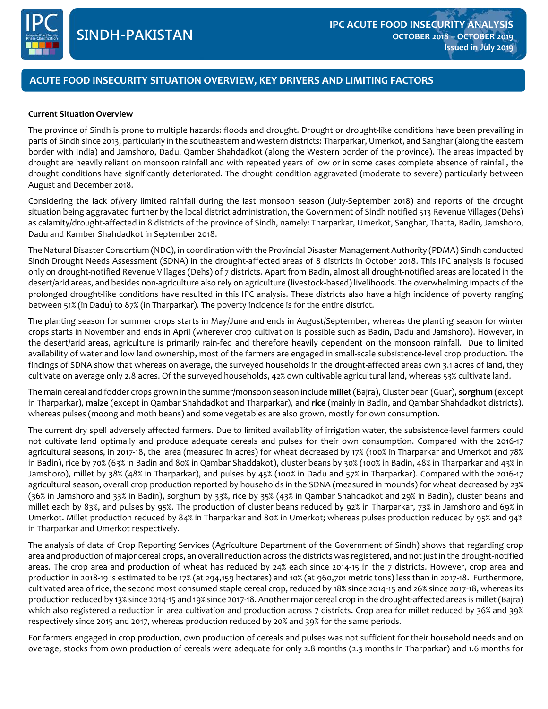

# **0000 ACUTE FOOD INSECURITY SITUATION OVERVIEW, KEY DRIVERS AND LIMITING FACTORS**

### **Current Situation Overview**

The province of Sindh is prone to multiple hazards: floods and drought. Drought or drought-like conditions have been prevailing in parts of Sindh since 2013, particularly in the southeastern and western districts: Tharparkar, Umerkot, and Sanghar (along the eastern border with India) and Jamshoro, Dadu, Qamber Shahdadkot (along the Western border of the province). The areas impacted by drought are heavily reliant on monsoon rainfall and with repeated years of low or in some cases complete absence of rainfall, the drought conditions have significantly deteriorated. The drought condition aggravated (moderate to severe) particularly between August and December 2018.

Considering the lack of/very limited rainfall during the last monsoon season (July-September 2018) and reports of the drought situation being aggravated further by the local district administration, the Government of Sindh notified 513 Revenue Villages (Dehs) as calamity/drought-affected in 8 districts of the province of Sindh, namely: Tharparkar, Umerkot, Sanghar, Thatta, Badin, Jamshoro, Dadu and Kamber Shahdadkot in September 2018.

The Natural Disaster Consortium (NDC), in coordination with the Provincial Disaster Management Authority (PDMA) Sindh conducted Sindh Drought Needs Assessment (SDNA) in the drought-affected areas of 8 districts in October 2018. This IPC analysis is focused only on drought-notified Revenue Villages (Dehs) of 7 districts. Apart from Badin, almost all drought-notified areas are located in the desert/arid areas, and besides non-agriculture also rely on agriculture (livestock-based) livelihoods. The overwhelming impacts of the prolonged drought-like conditions have resulted in this IPC analysis. These districts also have a high incidence of poverty ranging between 51% (in Dadu) to 87% (in Tharparkar). The poverty incidence is for the entire district.

The planting season for summer crops starts in May/June and ends in August/September, whereas the planting season for winter crops starts in November and ends in April (wherever crop cultivation is possible such as Badin, Dadu and Jamshoro). However, in the desert/arid areas, agriculture is primarily rain-fed and therefore heavily dependent on the monsoon rainfall. Due to limited availability of water and low land ownership, most of the farmers are engaged in small-scale subsistence-level crop production. The findings of SDNA show that whereas on average, the surveyed households in the drought-affected areas own 3.1 acres of land, they cultivate on average only 2.8 acres. Of the surveyed households, 42% own cultivable agricultural land, whereas 53% cultivate land.

The main cereal and fodder crops grown in the summer/monsoon season include **millet** (Bajra), Cluster bean (Guar), **sorghum** (except in Tharparkar), **maize** (except in Qambar Shahdadkot and Tharparkar), and **rice** (mainly in Badin, and Qambar Shahdadkot districts), whereas pulses (moong and moth beans) and some vegetables are also grown, mostly for own consumption.

The current dry spell adversely affected farmers. Due to limited availability of irrigation water, the subsistence-level farmers could not cultivate land optimally and produce adequate cereals and pulses for their own consumption. Compared with the 2016-17 agricultural seasons, in 2017-18, the area (measured in acres) for wheat decreased by 17% (100% in Tharparkar and Umerkot and 78% in Badin), rice by 70% (63% in Badin and 80% in Qambar Shaddakot), cluster beans by 30% (100% in Badin, 48% in Tharparkar and 43% in Jamshoro), millet by 38% (48% in Tharparkar), and pulses by 45% (100% in Dadu and 57% in Tharparkar). Compared with the 2016-17 agricultural season, overall crop production reported by households in the SDNA (measured in mounds) for wheat decreased by 23% (36% in Jamshoro and 33% in Badin), sorghum by 33%, rice by 35% (43% in Qambar Shahdadkot and 29% in Badin), cluster beans and millet each by 83%, and pulses by 95%. The production of cluster beans reduced by 92% in Tharparkar, 73% in Jamshoro and 69% in Umerkot. Millet production reduced by 84% in Tharparkar and 80% in Umerkot; whereas pulses production reduced by 95% and 94% in Tharparkar and Umerkot respectively.

The analysis of data of Crop Reporting Services (Agriculture Department of the Government of Sindh) shows that regarding crop area and production of major cereal crops, an overall reduction across the districts was registered, and not just in the drought-notified areas. The crop area and production of wheat has reduced by 24% each since 2014-15 in the 7 districts. However, crop area and production in 2018-19 is estimated to be 17% (at 294,159 hectares) and 10% (at 960,701 metric tons) less than in 2017-18. Furthermore, cultivated area of rice, the second most consumed staple cereal crop, reduced by 18% since 2014-15 and 26% since 2017-18, whereas its production reduced by 13% since 2014-15 and 19% since 2017-18. Another major cereal crop in the drought-affected areas is millet (Bajra) which also registered a reduction in area cultivation and production across 7 districts. Crop area for millet reduced by 36% and 39% respectively since 2015 and 2017, whereas production reduced by 20% and 39% for the same periods.

For farmers engaged in crop production, own production of cereals and pulses was not sufficient for their household needs and on overage, stocks from own production of cereals were adequate for only 2.8 months (2.3 months in Tharparkar) and 1.6 months for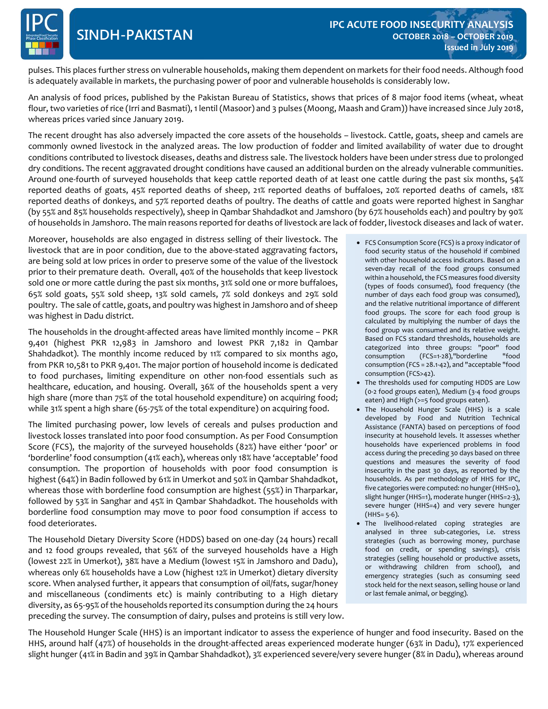pulses. This places further stress on vulnerable households, making them dependent on markets for their food needs. Although food<br>is adocuptely sysilable in markets, the numbering navyes of needs and wilnerable beyogholds is adequately available in markets, the purchasing power of poor and vulnerable households is considerably low.

An analysis of food prices, published by the Pakistan Bureau of Statistics, shows that prices of 8 major food items (wheat, wheat flour, two varieties of rice (Irri and Basmati), 1 lentil (Masoor) and 3 pulses (Moong, Maash and Gram)) have increased since July 2018, whereas prices varied since January 2019.

The recent drought has also adversely impacted the core assets of the households – livestock. Cattle, goats, sheep and camels are commonly owned livestock in the analyzed areas. The low production of fodder and limited availability of water due to drought conditions contributed to livestock diseases, deaths and distress sale. The livestock holders have been under stress due to prolonged dry conditions. The recent aggravated drought conditions have caused an additional burden on the already vulnerable communities. Around one-fourth of surveyed households that keep cattle reported death of at least one cattle during the past six months, 54% reported deaths of goats, 45% reported deaths of sheep, 21% reported deaths of buffaloes, 20% reported deaths of camels, 18% reported deaths of donkeys, and 57% reported deaths of poultry. The deaths of cattle and goats were reported highest in Sanghar (by 55% and 85% households respectively), sheep in Qambar Shahdadkot and Jamshoro (by 67% households each) and poultry by 90% of households in Jamshoro. The main reasons reported for deaths of livestock are lack of fodder, livestock diseases and lack of water.

Moreover, households are also engaged in distress selling of their livestock. The livestock that are in poor condition, due to the above-stated aggravating factors, are being sold at low prices in order to preserve some of the value of the livestock prior to their premature death. Overall, 40% of the households that keep livestock sold one or more cattle during the past six months, 31% sold one or more buffaloes, 65% sold goats, 55% sold sheep, 13% sold camels, 7% sold donkeys and 29% sold poultry. The sale of cattle, goats, and poultry was highest in Jamshoro and of sheep was highest in Dadu district.

The households in the drought-affected areas have limited monthly income – PKR 9,401 (highest PKR 12,983 in Jamshoro and lowest PKR 7,182 in Qambar Shahdadkot). The monthly income reduced by 11% compared to six months ago, from PKR 10,581 to PKR 9,401. The major portion of household income is dedicated to food purchases, limiting expenditure on other non-food essentials such as healthcare, education, and housing. Overall, 36% of the households spent a very high share (more than 75% of the total household expenditure) on acquiring food; while 31% spent a high share (65-75% of the total expenditure) on acquiring food.

The limited purchasing power, low levels of cereals and pulses production and livestock losses translated into poor food consumption. As per Food Consumption Score (FCS), the majority of the surveyed households (82%) have either 'poor' or 'borderline' food consumption (41% each), whereas only 18% have 'acceptable' food consumption. The proportion of households with poor food consumption is highest (64%) in Badin followed by 61% in Umerkot and 50% in Qambar Shahdadkot, whereas those with borderline food consumption are highest (55%) in Tharparkar, followed by 53% in Sanghar and 45% in Qambar Shahdadkot. The households with borderline food consumption may move to poor food consumption if access to food deteriorates.

The Household Dietary Diversity Score (HDDS) based on one-day (24 hours) recall and 12 food groups revealed, that 56% of the surveyed households have a High (lowest 22% in Umerkot), 38% have a Medium (lowest 15% in Jamshoro and Dadu), whereas only 6% households have a Low (highest 12% in Umerkot) dietary diversity score. When analysed further, it appears that consumption of oil/fats, sugar/honey and miscellaneous (condiments etc) is mainly contributing to a High dietary diversity, as 65-95% of the households reported its consumption during the 24 hours preceding the survey. The consumption of dairy, pulses and proteins is still very low.

- FCS Consumption Score (FCS) is a proxy indicator of food security status of the household if combined with other household access indicators. Based on a seven-day recall of the food groups consumed within a household, the FCS measures food diversity (types of foods consumed), food frequency (the number of days each food group was consumed), and the relative nutritional importance of different food groups. The score for each food group is calculated by multiplying the number of days the food group was consumed and its relative weight. Based on FCS standard thresholds, households are categorized into three groups: "poor" food consumption (FCS=1-28),"borderline consumption (FCS = 28.1-42), and "acceptable "food consumption (FCS>42).
- The thresholds used for computing HDDS are Low (0-2 food groups eaten), Medium (3-4 food groups eaten) and High (>=5 food groups eaten).
- The Household Hunger Scale (HHS) is a scale developed by Food and Nutrition Technical Assistance (FANTA) based on perceptions of food insecurity at household levels. It assesses whether households have experienced problems in food access during the preceding 30 days based on three questions and measures the severity of food insecurity in the past 30 days, as reported by the households. As per methodology of HHS for IPC, five categories were computed: no hunger (HHS=0), slight hunger (HHS=1), moderate hunger (HHS=2-3), severe hunger (HHS=4) and very severe hunger  $(HHS = 5-6)$ .
- The livelihood-related coping strategies are analysed in three sub-categories, i.e. stress strategies (such as borrowing money, purchase food on credit, or spending savings), crisis strategies (selling household or productive assets, or withdrawing children from school), and emergency strategies (such as consuming seed stock held for the next season, selling house or land or last female animal, or begging).

The Household Hunger Scale (HHS) is an important indicator to assess the experience of hunger and food insecurity. Based on the HHS, around half (47%) of households in the drought-affected areas experienced moderate hunger (63% in Dadu), 17% experienced slight hunger (41% in Badin and 39% in Qambar Shahdadkot), 3% experienced severe/very severe hunger (8% in Dadu), whereas around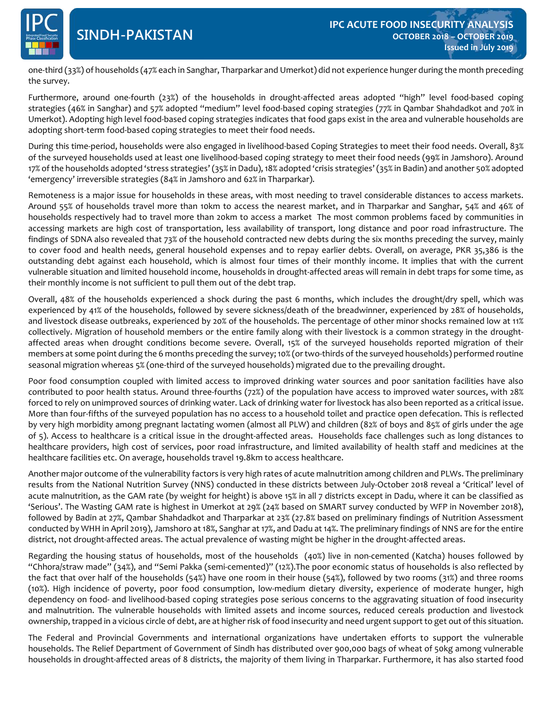

# **SINDH-PAKISTAN**

**0000** one-third (33%) of households (47% each in Sanghar, Tharparkar and Umerkot) did not experience hunger during the month preceding the survey.

Furthermore, around one-fourth (23%) of the households in drought-affected areas adopted "high" level food-based coping strategies (46% in Sanghar) and 57% adopted "medium" level food-based coping strategies (77% in Qambar Shahdadkot and 70% in Umerkot). Adopting high level food-based coping strategies indicates that food gaps exist in the area and vulnerable households are adopting short-term food-based coping strategies to meet their food needs.

During this time-period, households were also engaged in livelihood-based Coping Strategies to meet their food needs. Overall, 83% of the surveyed households used at least one livelihood-based coping strategy to meet their food needs (99% in Jamshoro). Around 17% ofthe households adopted 'stress strategies' (35% in Dadu), 18% adopted 'crisis strategies' (35% in Badin) and another 50% adopted 'emergency' irreversible strategies (84% in Jamshoro and 62% in Tharparkar).

Remoteness is a major issue for households in these areas, with most needing to travel considerable distances to access markets. Around 55% of households travel more than 10km to access the nearest market, and in Tharparkar and Sanghar, 54% and 46% of households respectively had to travel more than 20km to access a market The most common problems faced by communities in accessing markets are high cost of transportation, less availability of transport, long distance and poor road infrastructure. The findings of SDNA also revealed that 73% of the household contracted new debts during the six months preceding the survey, mainly to cover food and health needs, general household expenses and to repay earlier debts. Overall, on average, PKR 35,386 is the outstanding debt against each household, which is almost four times of their monthly income. It implies that with the current vulnerable situation and limited household income, households in drought-affected areas will remain in debt traps for some time, as their monthly income is not sufficient to pull them out of the debt trap.

Overall, 48% of the households experienced a shock during the past 6 months, which includes the drought/dry spell, which was experienced by 41% of the households, followed by severe sickness/death of the breadwinner, experienced by 28% of households, and livestock disease outbreaks, experienced by 20% of the households. The percentage of other minor shocks remained low at 11% collectively. Migration of household members or the entire family along with their livestock is a common strategy in the droughtaffected areas when drought conditions become severe. Overall, 15% of the surveyed households reported migration of their members at some point during the 6 months preceding the survey; 10% (or two-thirds of the surveyed households) performed routine seasonal migration whereas 5% (one-third of the surveyed households) migrated due to the prevailing drought.

Poor food consumption coupled with limited access to improved drinking water sources and poor sanitation facilities have also contributed to poor health status. Around three-fourths (72%) of the population have access to improved water sources, with 28% forced to rely on unimproved sources of drinking water. Lack of drinking water for livestock has also been reported as a critical issue. More than four-fifths of the surveyed population has no access to a household toilet and practice open defecation. This is reflected by very high morbidity among pregnant lactating women (almost all PLW) and children (82% of boys and 85% of girls under the age of 5). Access to healthcare is a critical issue in the drought-affected areas. Households face challenges such as long distances to healthcare providers, high cost of services, poor road infrastructure, and limited availability of health staff and medicines at the healthcare facilities etc. On average, households travel 19.8km to access healthcare.

Another major outcome ofthe vulnerability factors is very high rates of acute malnutrition among children and PLWs. The preliminary results from the National Nutrition Survey (NNS) conducted in these districts between July-October 2018 reveal a 'Critical' level of acute malnutrition, as the GAM rate (by weight for height) is above 15% in all 7 districts except in Dadu, where it can be classified as 'Serious'. The Wasting GAM rate is highest in Umerkot at 29% (24% based on SMART survey conducted by WFP in November 2018), followed by Badin at 27%, Qambar Shahdadkot and Tharparkar at 23% (27.8% based on preliminary findings of Nutrition Assessment conducted by WHH in April 2019), Jamshoro at 18%, Sanghar at 17%, and Dadu at 14%. The preliminary findings of NNS are for the entire district, not drought-affected areas. The actual prevalence of wasting might be higher in the drought-affected areas.

Regarding the housing status of households, most of the households (40%) live in non-cemented (Katcha) houses followed by "Chhora/straw made" (34%), and "Semi Pakka (semi-cemented)" (12%).The poor economic status of households is also reflected by the fact that over half of the households (54%) have one room in their house (54%), followed by two rooms (31%) and three rooms (10%). High incidence of poverty, poor food consumption, low-medium dietary diversity, experience of moderate hunger, high dependency on food- and livelihood-based coping strategies pose serious concerns to the aggravating situation of food insecurity and malnutrition. The vulnerable households with limited assets and income sources, reduced cereals production and livestock ownership, trapped in a vicious circle of debt, are at higherrisk of food insecurity and need urgent support to get out ofthis situation.

The Federal and Provincial Governments and international organizations have undertaken efforts to support the vulnerable households. The Relief Department of Government of Sindh has distributed over 900,000 bags of wheat of 50kg among vulnerable households in drought-affected areas of 8 districts, the majority of them living in Tharparkar. Furthermore, it has also started food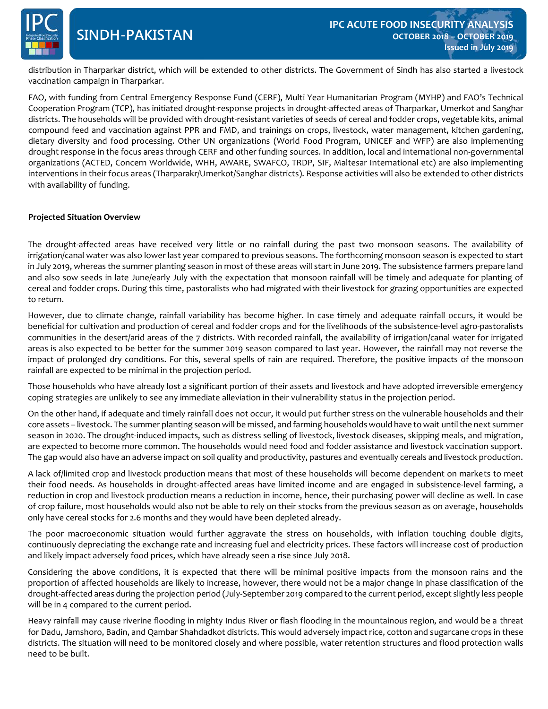

distribution in Tharparkar district, which will be extended to other districts. The Government of Sindh has also started a livestock<br>westination compaign in Tharparkar. vaccination campaign in Tharparkar.

FAO, with funding from Central Emergency Response Fund (CERF), Multi Year Humanitarian Program (MYHP) and FAO's Technical Cooperation Program (TCP), has initiated drought-response projects in drought-affected areas of Tharparkar, Umerkot and Sanghar districts. The households will be provided with drought-resistant varieties of seeds of cereal and fodder crops, vegetable kits, animal compound feed and vaccination against PPR and FMD, and trainings on crops, livestock, water management, kitchen gardening, dietary diversity and food processing. Other UN organizations (World Food Program, UNICEF and WFP) are also implementing drought response in the focus areas through CERF and other funding sources. In addition, local and international non-governmental organizations (ACTED, Concern Worldwide, WHH, AWARE, SWAFCO, TRDP, SIF, Maltesar International etc) are also implementing interventions in their focus areas (Tharparakr/Umerkot/Sanghar districts). Response activities will also be extended to other districts with availability of funding.

### **Projected Situation Overview**

The drought-affected areas have received very little or no rainfall during the past two monsoon seasons. The availability of irrigation/canal water was also lower last year compared to previous seasons. The forthcoming monsoon season is expected to start in July 2019, whereas the summer planting season in most of these areas will start in June 2019. The subsistence farmers prepare land and also sow seeds in late June/early July with the expectation that monsoon rainfall will be timely and adequate for planting of cereal and fodder crops. During this time, pastoralists who had migrated with their livestock for grazing opportunities are expected to return.

However, due to climate change, rainfall variability has become higher. In case timely and adequate rainfall occurs, it would be beneficial for cultivation and production of cereal and fodder crops and for the livelihoods of the subsistence-level agro-pastoralists communities in the desert/arid areas of the 7 districts. With recorded rainfall, the availability of irrigation/canal water for irrigated areas is also expected to be better for the summer 2019 season compared to last year. However, the rainfall may not reverse the impact of prolonged dry conditions. For this, several spells of rain are required. Therefore, the positive impacts of the monsoon rainfall are expected to be minimal in the projection period.

Those households who have already lost a significant portion of their assets and livestock and have adopted irreversible emergency coping strategies are unlikely to see any immediate alleviation in their vulnerability status in the projection period.

On the other hand, if adequate and timely rainfall does not occur, it would put further stress on the vulnerable households and their core assets – livestock. The summer planting season will be missed, and farming households would have to wait until the next summer season in 2020. The drought-induced impacts, such as distress selling of livestock, livestock diseases, skipping meals, and migration, are expected to become more common. The households would need food and fodder assistance and livestock vaccination support. The gap would also have an adverse impact on soil quality and productivity, pastures and eventually cereals and livestock production.

A lack of/limited crop and livestock production means that most of these households will become dependent on markets to meet their food needs. As households in drought-affected areas have limited income and are engaged in subsistence-level farming, a reduction in crop and livestock production means a reduction in income, hence, their purchasing power will decline as well. In case of crop failure, most households would also not be able to rely on their stocks from the previous season as on average, households only have cereal stocks for 2.6 months and they would have been depleted already.

The poor macroeconomic situation would further aggravate the stress on households, with inflation touching double digits, continuously depreciating the exchange rate and increasing fuel and electricity prices. These factors will increase cost of production and likely impact adversely food prices, which have already seen a rise since July 2018.

Considering the above conditions, it is expected that there will be minimal positive impacts from the monsoon rains and the proportion of affected households are likely to increase, however, there would not be a major change in phase classification of the drought-affected areas during the projection period (July-September 2019 compared to the current period, except slightly less people will be in 4 compared to the current period.

Heavy rainfall may cause riverine flooding in mighty Indus River or flash flooding in the mountainous region, and would be a threat for Dadu, Jamshoro, Badin, and Qambar Shahdadkot districts. This would adversely impact rice, cotton and sugarcane crops in these districts. The situation will need to be monitored closely and where possible, water retention structures and flood protection walls need to be built.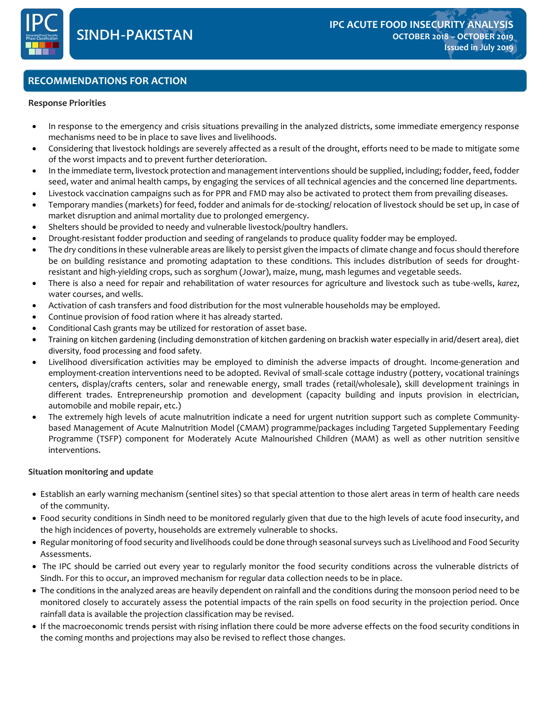

## **RECOMMENDATIONS FOR ACTION**

#### **RECOMMENDATION FOR ACTION Response Priorities**

- In response to the emergency and crisis situations prevailing in the analyzed districts, some immediate emergency response mechanisms need to be in place to save lives and livelihoods.
- Considering that livestock holdings are severely affected as a result of the drought, efforts need to be made to mitigate some of the worst impacts and to prevent further deterioration.
- In the immediate term, livestock protection and management interventions should be supplied, including; fodder, feed, fodder seed, water and animal health camps, by engaging the services of all technical agencies and the concerned line departments.
- Livestock vaccination campaigns such as for PPR and FMD may also be activated to protect them from prevailing diseases.
- Temporary mandies (markets) for feed, fodder and animals for de-stocking/ relocation of livestock should be set up, in case of market disruption and animal mortality due to prolonged emergency.
- Shelters should be provided to needy and vulnerable livestock/poultry handlers.
- Drought-resistant fodder production and seeding of rangelands to produce quality fodder may be employed.
- The dry conditions in these vulnerable areas are likely to persist given the impacts of climate change and focus should therefore be on building resistance and promoting adaptation to these conditions. This includes distribution of seeds for droughtresistant and high-yielding crops, such as sorghum (Jowar), maize, mung, mash legumes and vegetable seeds.
- There is also a need for repair and rehabilitation of water resources for agriculture and livestock such as tube-wells, *karez*, water courses, and wells.
- Activation of cash transfers and food distribution for the most vulnerable households may be employed.
- Continue provision of food ration where it has already started.
- Conditional Cash grants may be utilized for restoration of asset base.
- Training on kitchen gardening (including demonstration of kitchen gardening on brackish water especially in arid/desert area), diet diversity, food processing and food safety.
- Livelihood diversification activities may be employed to diminish the adverse impacts of drought. Income-generation and employment-creation interventions need to be adopted. Revival of small-scale cottage industry (pottery, vocational trainings centers, display/crafts centers, solar and renewable energy, small trades (retail/wholesale), skill development trainings in different trades. Entrepreneurship promotion and development (capacity building and inputs provision in electrician, automobile and mobile repair, etc.)
- The extremely high levels of acute malnutrition indicate a need for urgent nutrition support such as complete Communitybased Management of Acute Malnutrition Model (CMAM) programme/packages including Targeted Supplementary Feeding Programme (TSFP) component for Moderately Acute Malnourished Children (MAM) as well as other nutrition sensitive interventions.

### **Situation monitoring and update**

- Establish an early warning mechanism (sentinel sites) so that special attention to those alert areas in term of health care needs of the community.
- Food security conditions in Sindh need to be monitored regularly given that due to the high levels of acute food insecurity, and the high incidences of poverty, households are extremely vulnerable to shocks.
- Regular monitoring of food security and livelihoods could be done through seasonal surveys such as Livelihood and Food Security Assessments.
- The IPC should be carried out every year to regularly monitor the food security conditions across the vulnerable districts of Sindh. For this to occur, an improved mechanism for regular data collection needs to be in place.
- The conditions in the analyzed areas are heavily dependent on rainfall and the conditions during the monsoon period need to be monitored closely to accurately assess the potential impacts of the rain spells on food security in the projection period. Once rainfall data is available the projection classification may be revised.
- If the macroeconomic trends persist with rising inflation there could be more adverse effects on the food security conditions in the coming months and projections may also be revised to reflect those changes.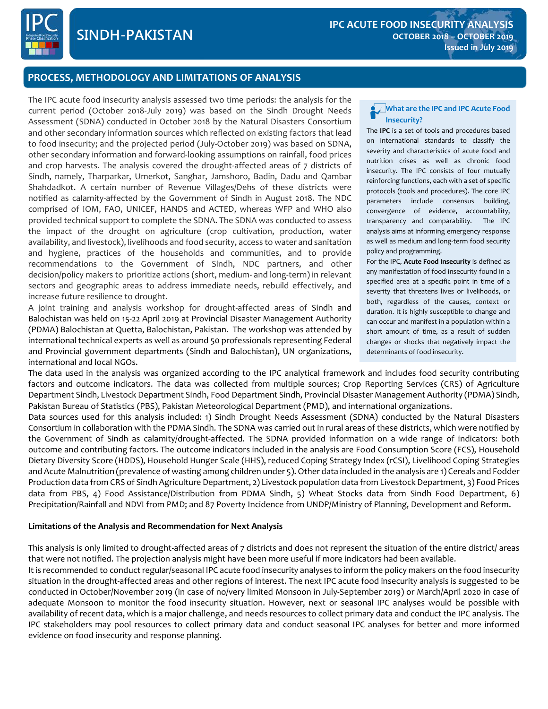

# **0000 PROCESS, METHODOLOGY AND LIMITATIONS OF ANALYSIS**

The IPC acute food insecurity analysis assessed two time periods: the analysis for the current period (October 2018-July 2019) was based on the Sindh Drought Needs Assessment (SDNA) conducted in October 2018 by the Natural Disasters Consortium and other secondary information sources which reflected on existing factors that lead to food insecurity; and the projected period (July-October 2019) was based on SDNA, other secondary information and forward-looking assumptions on rainfall, food prices and crop harvests. The analysis covered the drought-affected areas of 7 districts of Sindh, namely, Tharparkar, Umerkot, Sanghar, Jamshoro, Badin, Dadu and Qambar Shahdadkot. A certain number of Revenue Villages/Dehs of these districts were notified as calamity-affected by the Government of Sindh in August 2018. The NDC comprised of IOM, FAO, UNICEF, HANDS and ACTED, whereas WFP and WHO also provided technical support to complete the SDNA. The SDNA was conducted to assess the impact of the drought on agriculture (crop cultivation, production, water availability, and livestock), livelihoods and food security, access to water and sanitation and hygiene, practices of the households and communities, and to provide recommendations to the Government of Sindh, NDC partners, and other decision/policy makers to prioritize actions (short, medium- and long-term) in relevant sectors and geographic areas to address immediate needs, rebuild effectively, and increase future resilience to drought.

A joint training and analysis workshop for drought-affected areas of Sindh and Balochistan was held on 15-22 April 2019 at Provincial Disaster Management Authority (PDMA) Balochistan at Quetta, Balochistan, Pakistan. The workshop was attended by international technical experts as well as around 50 professionals representing Federal and Provincial government departments (Sindh and Balochistan), UN organizations, international and local NGOs.

#### **What are the IPC and IPC Acute Food Insecurity?**

The **IPC** is a set of tools and procedures based on international standards to classify the severity and characteristics of acute food and nutrition crises as well as chronic food insecurity. The IPC consists of four mutually reinforcing functions, each with a set of specific protocols (tools and procedures). The core IPC parameters include consensus building, convergence of evidence, accountability, transparency and comparability. The IPC analysis aims at informing emergency response as well as medium and long-term food security policy and programming.

For the IPC, **Acute Food Insecurity** is defined as any manifestation of food insecurity found in a specified area at a specific point in time of a severity that threatens lives or livelihoods, or both, regardless of the causes, context or duration. It is highly susceptible to change and can occur and manifest in a population within a short amount of time, as a result of sudden changes or shocks that negatively impact the determinants of food insecurity.

The data used in the analysis was organized according to the IPC analytical framework and includes food security contributing factors and outcome indicators. The data was collected from multiple sources; Crop Reporting Services (CRS) of Agriculture Department Sindh, Livestock Department Sindh, Food Department Sindh, Provincial Disaster Management Authority (PDMA) Sindh, Pakistan Bureau of Statistics (PBS), Pakistan Meteorological Department (PMD), and international organizations.

Data sources used for this analysis included: 1) Sindh Drought Needs Assessment (SDNA) conducted by the Natural Disasters Consortium in collaboration with the PDMA Sindh. The SDNA was carried out in rural areas of these districts, which were notified by the Government of Sindh as calamity/drought-affected. The SDNA provided information on a wide range of indicators: both outcome and contributing factors. The outcome indicators included in the analysis are Food Consumption Score (FCS), Household Dietary Diversity Score (HDDS), Household Hunger Scale (HHS), reduced Coping Strategy Index (rCSI), Livelihood Coping Strategies and Acute Malnutrition (prevalence of wasting among children under 5). Other data included in the analysis are 1) Cereals and Fodder Production data from CRS of Sindh Agriculture Department, 2) Livestock population data from Livestock Department, 3) Food Prices data from PBS, 4) Food Assistance/Distribution from PDMA Sindh, 5) Wheat Stocks data from Sindh Food Department, 6) Precipitation/Rainfall and NDVI from PMD; and 87 Poverty Incidence from UNDP/Ministry of Planning, Development and Reform.

#### **Limitations of the Analysis and Recommendation for Next Analysis**

This analysis is only limited to drought-affected areas of 7 districts and does not represent the situation of the entire district/ areas that were not notified. The projection analysis might have been more useful if more indicators had been available. It is recommended to conduct regular/seasonal IPC acute food insecurity analyses to inform the policy makers on the food insecurity situation in the drought-affected areas and other regions of interest. The next IPC acute food insecurity analysis is suggested to be conducted in October/November 2019 (in case of no/very limited Monsoon in July-September 2019) or March/April 2020 in case of adequate Monsoon to monitor the food insecurity situation. However, next or seasonal IPC analyses would be possible with availability of recent data, which is a major challenge, and needs resources to collect primary data and conduct the IPC analysis. The IPC stakeholders may pool resources to collect primary data and conduct seasonal IPC analyses for better and more informed evidence on food insecurity and response planning.